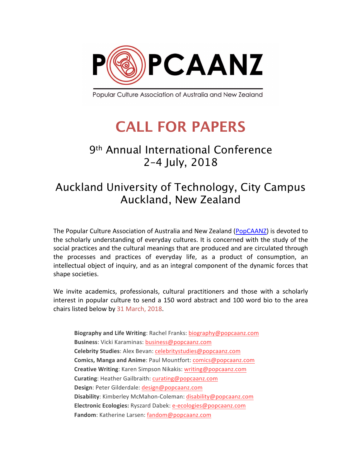

Popular Culture Association of Australia and New Zealand

## **CALL FOR PAPERS**

## 9th Annual International Conference 2–4 July, 2018

## Auckland University of Technology, City Campus Auckland, New Zealand

The Popular Culture Association of Australia and New Zealand (PopCAANZ) is devoted to the scholarly understanding of everyday cultures. It is concerned with the study of the social practices and the cultural meanings that are produced and are circulated through the processes and practices of everyday life, as a product of consumption, an intellectual object of inquiry, and as an integral component of the dynamic forces that shape societies.

We invite academics, professionals, cultural practitioners and those with a scholarly interest in popular culture to send a 150 word abstract and 100 word bio to the area chairs listed below by 31 March, 2018.

**Biography and Life Writing**: Rachel Franks: biography@popcaanz.com **Business**: Vicki Karaminas: business@popcaanz.com **Celebrity Studies**: Alex Bevan: celebritystudies@popcaanz.com **Comics, Manga and Anime**: Paul Mountfort: comics@popcaanz.com **Creative Writing**: Karen Simpson Nikakis: writing@popcaanz.com **Curating**: Heather Gailbraith: curating@popcaanz.com **Design**: Peter Gilderdale: design@popcaanz.com **Disability**: Kimberley McMahon-Coleman: disability@popcaanz.com **Electronic Ecologies:** Ryszard Dabek: e-ecologies@popcaanz.com Fandom: Katherine Larsen: fandom@popcaanz.com